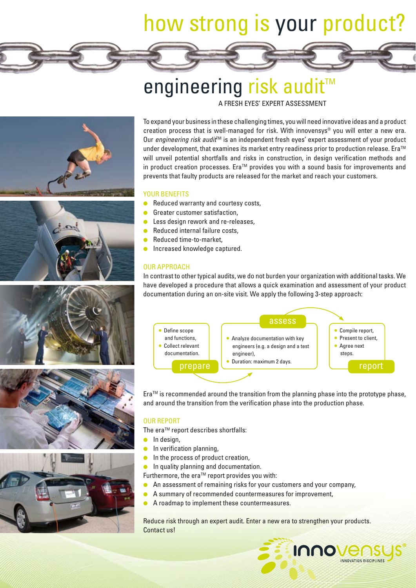# how strong is your product?

# engineering risk audit<sup>™</sup>

A FRESH EYES' EXPERT ASSESSMENT











To expand your business in these challenging times, you will need innovative ideas and a product creation process that is well-managed for risk. With innovensys® you will enter a new era. Our engineering risk audit<sup>™</sup> is an independent fresh eyes' expert assessment of your product under development, that examines its market entry readiness prior to production release. Era<sup>TM</sup> will unveil potential shortfalls and risks in construction, in design verification methods and in product creation processes. Era™ provides you with a sound basis for improvements and prevents that faulty products are released for the market and reach your customers.

### YOUR BENEFITS

- Reduced warranty and courtesy costs,
- Greater customer satisfaction,
- Less design rework and re-releases,
- Reduced internal failure costs,
- **Reduced time-to-market.**
- Increased knowledge captured.

# OUR APPROACH

In contrast to other typical audits, we do not burden your organization with additional tasks. We have developed a procedure that allows a quick examination and assessment of your product documentation during an on-site visit. We apply the following 3-step approach:



 $Era^{TM}$  is recommended around the transition from the planning phase into the prototype phase, and around the transition from the verification phase into the production phase.

# OUR REPORT

The era™ report describes shortfalls:

- In design,
- $\bullet$  In verification planning,
- In the process of product creation,
- **•** In quality planning and documentation.
- Furthermore, the era $TM$  report provides you with:
- An assessment of remaining risks for your customers and your company,
- A summary of recommended countermeasures for improvement,
- A roadmap to implement these countermeasures.

Reduce risk through an expert audit. Enter a new era to strengthen your products. Contact us!

**Innovens** 

**INNOVATION DISCIPLINES**